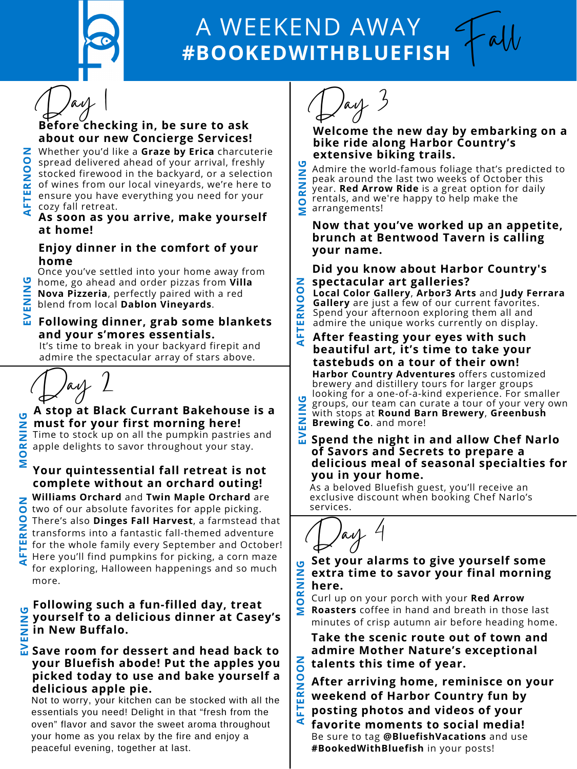

# **#BOOKEDWITHBLUEFISH** A WEEKEND AWAY

**FT**



**ERN**

**O**

**O**

# **Before checking in, be sure to ask about our new Concierge Services!**

#### **A As soon as you arrive, make yourself at home!**



Once you've settled into your home away from home, go ahead and order pizzas from **Villa Nova Pizzeria**, perfectly paired with a red blend from local **Dablon [Vineyards](https://www.dablon.com/)**[.](https://www.dablon.com/) **NIN**

#### **Following dinner, grab some blankets and your s'mores essentials. V**

It's time to break in your backyard firepit and admire the spectacular array of stars above.

**E**

**E**

**G**

**N**

Fall



**N**

 cozy fall retreat. of wines from our local vineyards, we're here to spread delivered ahead of your arrival, freshly Whether you'd like a **[Graze](https://www.grazebyerica.com/) by Erica** charcuterie stocked firewood in the backyard, or a selection ensure you have everything you need for your

> **Take the scenic route out of town and admire Mother Nature's exceptional talents this time of year.**

- **FTE posting photos and videos of your R** $\overline{z}$  **weekend of Harbor Country fun by OOAfter arriving home, reminisce on your**
- **A favorite moments to social media!** Be sure to tag **@BluefishVacations** and use **#BookedWithBluefish** in your posts!
- **NIN G extra time to savor your final morning Set your alarms to give yourself some here.**
- **MO [Roasters](https://www.redarrowroasters.com/)** coffee in hand and breath in those last **R** Curl up on your porch with your **Red Arrow** minutes of crisp autumn air before heading home.

#### $\overline{\mathbf{h}}$  Save room for dessert and head back to **your Bluefish abode! Put the apples you picked today to use and bake yourself a delicious apple pie. V**

# **Enjoy dinner in the comfort of your home**

Day 2

## **spectacular art galleries? Did you know about Harbor Country's**

**M O** arrangements! **R** rentals, and we're happy to help make the **NIN**<br>Ninh<br>Ninh **G** Admire the world-famous foliage that's predicted to peak around the last two weeks of October this year. **Red [Arrow](https://www.redarrowride.com/) Ride** is a great option for daily

**ER** admire the unique works currently on display. **N** Spend your afternoon exploring them all and **OO Local Color [Gallery](https://localcolorartgallery.com/)**, **[Arbor3](https://www.arbor3arts.com/) Arts** and **Judy Ferrara Gallery** are just a few of our current [favorites.](https://judyferraragallery.com/)

**ENIN G**groups, our team can curate a tour of your very own with stops at **Round Barn [Brewery](https://www.oselkamarina.com/rentals/)**[,](https://www.oselkamarina.com/rentals/) **[Greenbush](https://www.oselkamarina.com/rentals/) Brewing Co**. and [more!](https://www.oselkamarina.com/rentals/)

#### **A stop at Black Currant [Bakehouse](https://www.blackcurrantbakehouse.com/) is a must for your first morning here! NIN G**

**Your quintessential fall retreat is not complete without an orchard outing! [Williams](https://williamsorchard.com/) Orchard** and **Twin Maple [Orchard](http://www.twinmapleorchards.com/)** are two of our absolute favorites for apple picking. There's also **Dinges Fall [Harvest](https://www.facebook.com/Dinges-Fall-Harvest-101066389959559/)**, a farmstead that transforms into a fantastic fall-themed adventure for the whole family every September and October! Here you'll find pumpkins for picking, a corn maze for exploring, Halloween happenings and so much more. **MA FTERNOON**

#### **A FT After feasting your eyes with such Harbor Country [Adventures](https://www.oselkamarina.com/rentals/)** offers customized brewery and distillery tours for larger groups looking for a [one-of-a-kind](https://www.oselkamarina.com/rentals/) experience. For smaller **beautiful art, it's time to take your tastebuds on a tour of their own!**

Time to stock up on all the pumpkin pastries and apple delights to savor throughout your stay.

#### **E V Spend the night in and allow Chef Narlo of Savors and [Secrets](https://www.savorsandsecrets.com/) to prepare a delicious meal of seasonal specialties for you in your home.**

#### **Following such a fun-filled day, treat yourself to a delicious dinner at [Casey's](https://www.caseysnewbuffalo.com/) in New Buffalo. ENIN G**

Not to worry, your kitchen can be stocked with all the essentials you need! Delight in that "fresh from the oven" flavor and savor the sweet aroma throughout your home as you relax by the fire and enjoy a peaceful evening, together at last.

**OR**

## **Welcome the new day by embarking on a bike ride along Harbor Country's extensive biking trails.**

### **Now that you've worked up an appetite, brunch at [Bentwood](https://www.bentwoodtavern.com/menus/#weekend-brunch) Tavern is calling your name.**

As a beloved Bluefish guest, you'll receive an [exclusive](https://www.oselkamarina.com/rentals/) discount when booking Chef Narlo's services.